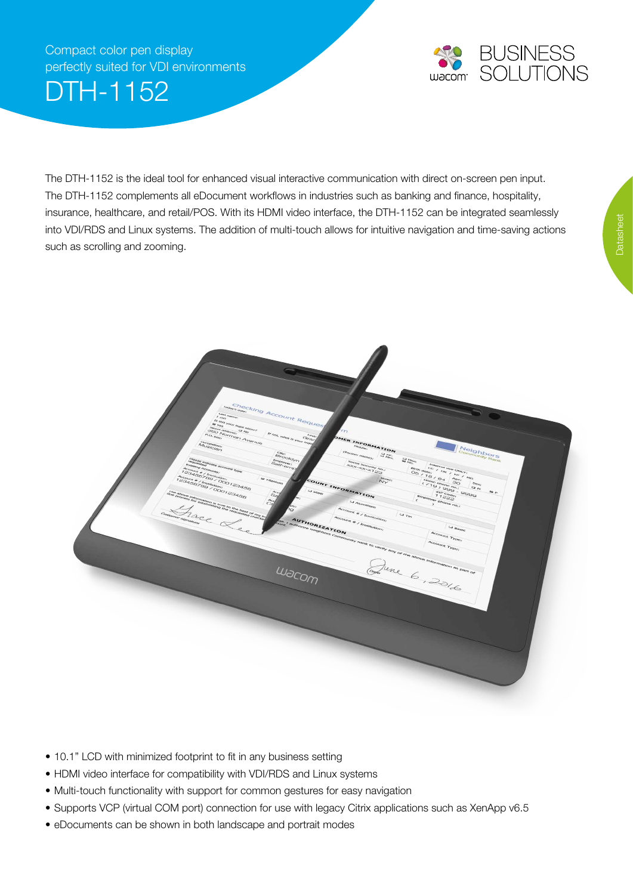## Compact color pen display perfectly suited for VDI environments

DTH-1152



The DTH-1152 is the ideal tool for enhanced visual interactive communication with direct on-screen pen input. The DTH-1152 complements all eDocument workflows in industries such as banking and finance, hospitality, insurance, healthcare, and retail/POS. With its HDMI video interface, the DTH-1152 can be integrated seamlessly into VDI/RDS and Linux systems. The addition of multi-touch allows for intuitive navigation and time-saving actions such as scrolling and zooming.



- 10.1" LCD with minimized footprint to fit in any business setting
- HDMI video interface for compatibility with VDI/RDS and [Linux](http://linuxwacom.sourceforge.net/wiki/index.php/Device_IDs) systems
- Multi-touch functionality with support for common gestures for easy navigation
- Supports VCP (virtual COM port) connection for use with legacy Citrix applications such as XenApp v6.5
- eDocuments can be shown in both landscape and portrait modes